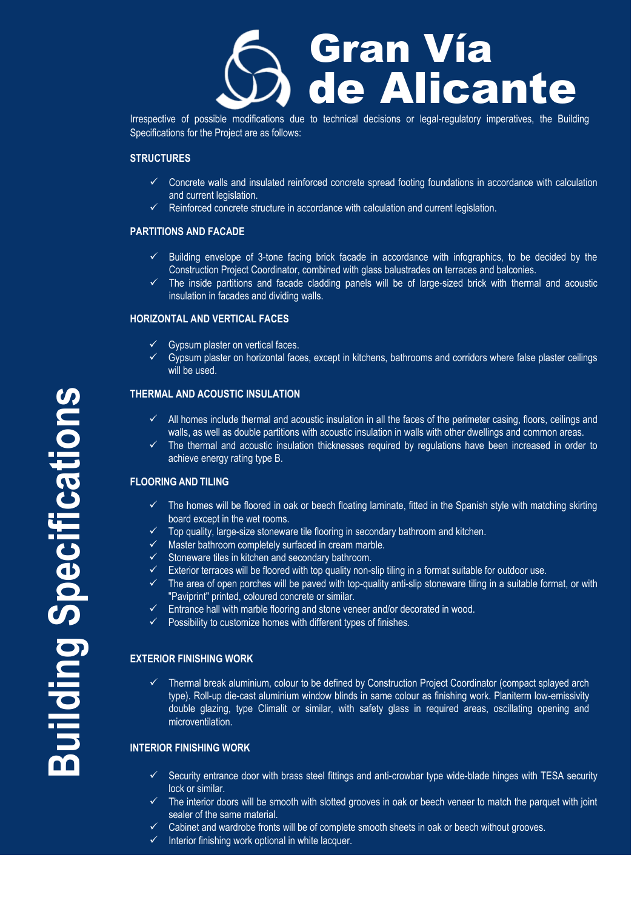

Irrespective of possible modifications due to technical decisions or legal-regulatory imperatives, the Building Specifications for the Project are as follows:

## **STRUCTURES**

- $\checkmark$  Concrete walls and insulated reinforced concrete spread footing foundations in accordance with calculation and current legislation.
- Reinforced concrete structure in accordance with calculation and current legislation.

#### **PARTITIONS AND FACADE**

- $\checkmark$  Building envelope of 3-tone facing brick facade in accordance with infographics, to be decided by the Construction Project Coordinator, combined with glass balustrades on terraces and balconies.
- $\checkmark$  The inside partitions and facade cladding panels will be of large-sized brick with thermal and acoustic insulation in facades and dividing walls.

## **HORIZONTAL AND VERTICAL FACES**

- $\checkmark$  Gypsum plaster on vertical faces.
- $\checkmark$  Gypsum plaster on horizontal faces, except in kitchens, bathrooms and corridors where false plaster ceilings will be used.

# **THERMAL AND ACOUSTIC INSULATION**

- $\checkmark$  All homes include thermal and acoustic insulation in all the faces of the perimeter casing, floors, ceilings and walls, as well as double partitions with acoustic insulation in walls with other dwellings and common areas.
- The thermal and acoustic insulation thicknesses required by regulations have been increased in order to achieve energy rating type B.

#### **FLOORING AND TILING**

- $\checkmark$  The homes will be floored in oak or beech floating laminate, fitted in the Spanish style with matching skirting board except in the wet rooms.
- $\checkmark$  Top quality, large-size stoneware tile flooring in secondary bathroom and kitchen.
- Master bathroom completely surfaced in cream marble.
- $\checkmark$  Stoneware tiles in kitchen and secondary bathroom.
- $\checkmark$  Exterior terraces will be floored with top quality non-slip tiling in a format suitable for outdoor use.
- $\checkmark$  The area of open porches will be paved with top-quality anti-slip stoneware tiling in a suitable format, or with "Paviprint" printed, coloured concrete or similar.
- Entrance hall with marble flooring and stone veneer and/or decorated in wood.
- $\checkmark$  Possibility to customize homes with different types of finishes.

#### **EXTERIOR FINISHING WORK**

 $\checkmark$  Thermal break aluminium, colour to be defined by Construction Project Coordinator (compact splayed arch type). Roll-up die-cast aluminium window blinds in same colour as finishing work. Planiterm low-emissivity double glazing, type Climalit or similar, with safety glass in required areas, oscillating opening and microventilation.

#### **INTERIOR FINISHING WORK**

- $\checkmark$  Security entrance door with brass steel fittings and anti-crowbar type wide-blade hinges with TESA security lock or similar.
- $\checkmark$  The interior doors will be smooth with slotted grooves in oak or beech veneer to match the parquet with joint sealer of the same material.
- $\checkmark$  Cabinet and wardrobe fronts will be of complete smooth sheets in oak or beech without grooves.
- $\checkmark$  Interior finishing work optional in white lacquer.